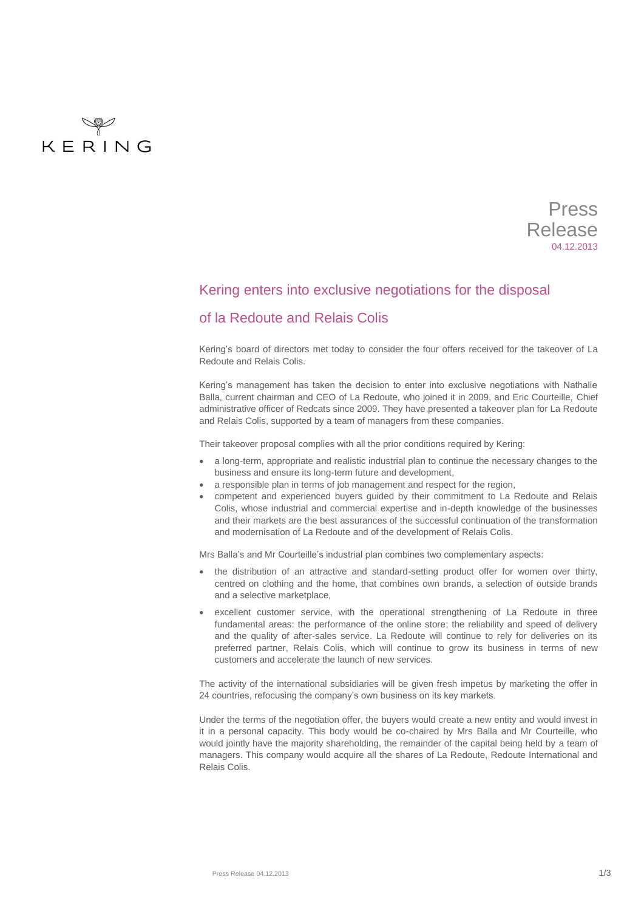

# Press Release 04.12.2013

## Kering enters into exclusive negotiations for the disposal

## of la Redoute and Relais Colis

Kering's board of directors met today to consider the four offers received for the takeover of La Redoute and Relais Colis.

Kering's management has taken the decision to enter into exclusive negotiations with Nathalie Balla, current chairman and CEO of La Redoute, who joined it in 2009, and Eric Courteille, Chief administrative officer of Redcats since 2009. They have presented a takeover plan for La Redoute and Relais Colis, supported by a team of managers from these companies.

Their takeover proposal complies with all the prior conditions required by Kering:

- a long-term, appropriate and realistic industrial plan to continue the necessary changes to the business and ensure its long-term future and development,
- a responsible plan in terms of job management and respect for the region,
- competent and experienced buyers guided by their commitment to La Redoute and Relais Colis, whose industrial and commercial expertise and in-depth knowledge of the businesses and their markets are the best assurances of the successful continuation of the transformation and modernisation of La Redoute and of the development of Relais Colis.

Mrs Balla's and Mr Courteille's industrial plan combines two complementary aspects:

- the distribution of an attractive and standard-setting product offer for women over thirty, centred on clothing and the home, that combines own brands, a selection of outside brands and a selective marketplace,
- excellent customer service, with the operational strengthening of La Redoute in three fundamental areas: the performance of the online store; the reliability and speed of delivery and the quality of after-sales service. La Redoute will continue to rely for deliveries on its preferred partner, Relais Colis, which will continue to grow its business in terms of new customers and accelerate the launch of new services.

The activity of the international subsidiaries will be given fresh impetus by marketing the offer in 24 countries, refocusing the company's own business on its key markets.

Under the terms of the negotiation offer, the buyers would create a new entity and would invest in it in a personal capacity. This body would be co-chaired by Mrs Balla and Mr Courteille, who would jointly have the majority shareholding, the remainder of the capital being held by a team of managers. This company would acquire all the shares of La Redoute, Redoute International and Relais Colis.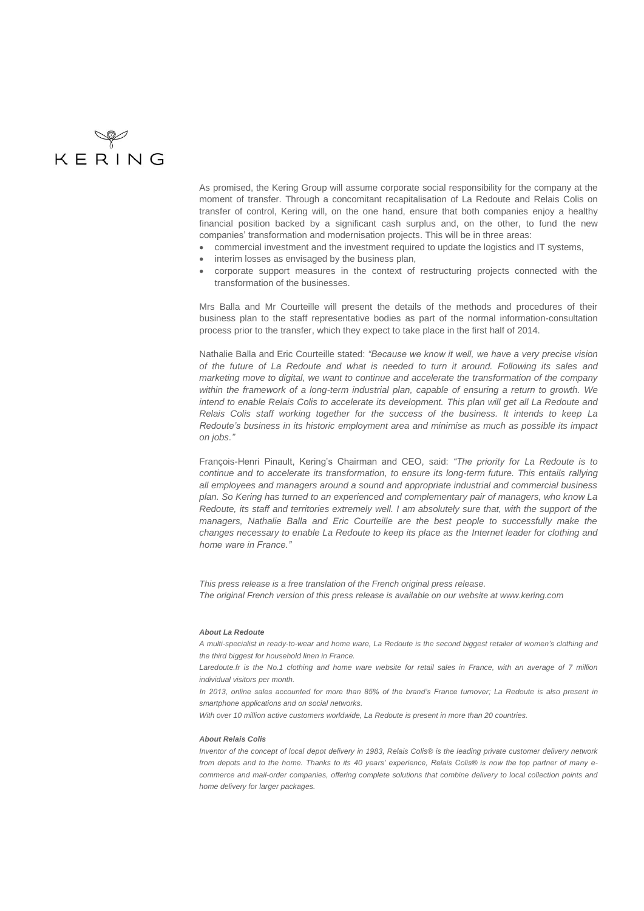

As promised, the Kering Group will assume corporate social responsibility for the company at the moment of transfer. Through a concomitant recapitalisation of La Redoute and Relais Colis on transfer of control, Kering will, on the one hand, ensure that both companies enjoy a healthy financial position backed by a significant cash surplus and, on the other, to fund the new companies' transformation and modernisation projects. This will be in three areas:

- commercial investment and the investment required to update the logistics and IT systems,
- interim losses as envisaged by the business plan,
- corporate support measures in the context of restructuring projects connected with the transformation of the businesses.

Mrs Balla and Mr Courteille will present the details of the methods and procedures of their business plan to the staff representative bodies as part of the normal information-consultation process prior to the transfer, which they expect to take place in the first half of 2014.

Nathalie Balla and Eric Courteille stated: *"Because we know it well, we have a very precise vision of the future of La Redoute and what is needed to turn it around. Following its sales and marketing move to digital, we want to continue and accelerate the transformation of the company within the framework of a long-term industrial plan, capable of ensuring a return to growth. We*  intend to enable Relais Colis to accelerate its development. This plan will get all La Redoute and *Relais Colis staff working together for the success of the business. It intends to keep La Redoute's business in its historic employment area and minimise as much as possible its impact on jobs."*

François-Henri Pinault, Kering's Chairman and CEO, said: *"The priority for La Redoute is to continue and to accelerate its transformation, to ensure its long-term future. This entails rallying all employees and managers around a sound and appropriate industrial and commercial business plan. So Kering has turned to an experienced and complementary pair of managers, who know La Redoute, its staff and territories extremely well. I am absolutely sure that, with the support of the managers, Nathalie Balla and Eric Courteille are the best people to successfully make the changes necessary to enable La Redoute to keep its place as the Internet leader for clothing and home ware in France."*

*This press release is a free translation of the French original press release. The original French version of this press release is available on our website at www.kering.com*

#### *About La Redoute*

*A multi-specialist in ready-to-wear and home ware, La Redoute is the second biggest retailer of women's clothing and the third biggest for household linen in France.* 

*Laredoute.fr is the No.1 clothing and home ware website for retail sales in France, with an average of 7 million individual visitors per month.* 

*In 2013, online sales accounted for more than 85% of the brand's France turnover; La Redoute is also present in smartphone applications and on social networks.* 

*With over 10 million active customers worldwide, La Redoute is present in more than 20 countries.* 

### *About Relais Colis*

*Inventor of the concept of local depot delivery in 1983, Relais Colis® is the leading private customer delivery network from depots and to the home. Thanks to its 40 years' experience, Relais Colis® is now the top partner of many ecommerce and mail-order companies, offering complete solutions that combine delivery to local collection points and home delivery for larger packages.*